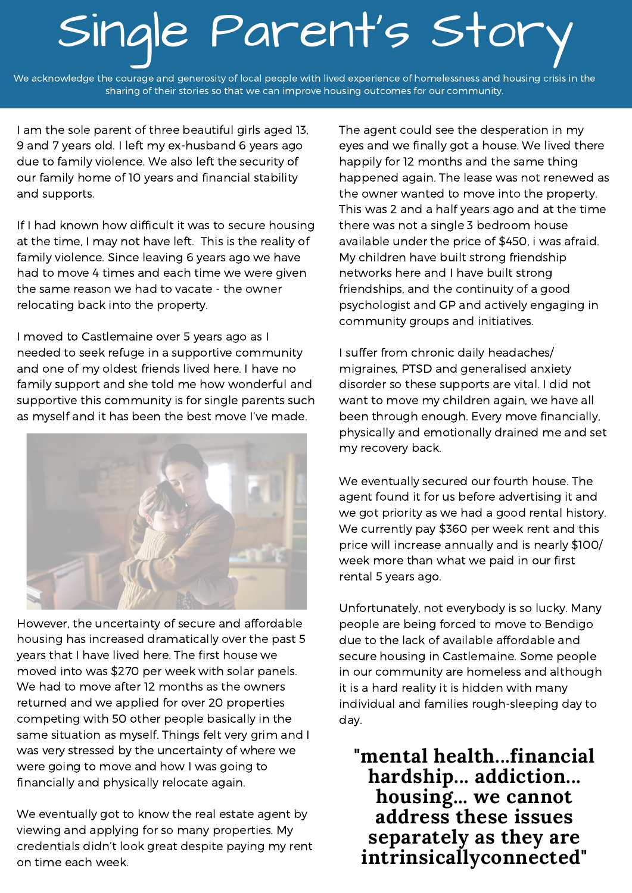## Single Parent's Stor

We acknowledge the courage and generosity of local people with lived experience of homelessness and housing crisis in the sharing of their stories so that we can improve housing outcomes for our community.

I am the sole parent of three beautiful girls aged 13, 9 and 7 years old. I left my ex-husband 6 years ago due to family violence. We also left the security of our family home of 10 years and financial stability and supports.

If I had known how difficult it was to secure housing at the time, I may not have left. This is the reality of family violence. Since leaving 6 years ago we have had to move 4 times and each time we were given the same reason we had to vacate - the owner relocating back into the property.

I moved to Castlemaine over 5 years ago as I needed to seek refuge in a supportive community and one of my oldest friends lived here. I have no family support and she told me how wonderful and supportive this community is for single parents such as myself and it has been the best move I've made.



However, the uncertainty of secure and affordable housing has increased dramatically over the past 5 years that I have lived here. The first house we moved into was \$270 per week with solar panels. We had to move after 12 months as the owners returned and we applied for over 20 properties competing with 50 other people basically in the same situation as myself. Things felt very grim and I was very stressed by the uncertainty of where we were going to move and how I was going to financially and physically relocate again.

We eventually got to know the real estate agent by viewing and applying for so many properties. My credentials didn't look great despite paying my rent on time each week.

The agent could see the desperation in my eyes and we finally got a house. We lived there happily for 12 months and the same thing happened again. The lease was not renewed as the owner wanted to move into the property. This was 2 and a half years ago and at the time there was not a single 3 bedroom house available under the price of \$450, i was afraid. My children have built strong friendship networks here and I have built strong friendships, and the continuity of a good psychologist and GP and actively engaging in community groups and initiatives.

I suffer from chronic daily headaches/ migraines, PTSD and generalised anxiety disorder so these supports are vital. I did not want to move my children again, we have all been through enough. Every move financially, physically and emotionally drained me and set my recovery back.

We eventually secured our fourth house. The agent found it for us before advertising it and we got priority as we had a good rental history. We currently pay \$360 per week rent and this price will increase annually and is nearly \$100/ week more than what we paid in our first rental 5 years ago.

Unfortunately, not everybody is so lucky. Many people are being forced to move to Bendigo due to the lack of available affordable and secure housing in Castlemaine. Some people in our community are homeless and although it is a hard reality it is hidden with many individual and families rough-sleeping day to day.

**"mental health...financial hardship... addiction... housing... we cannot address these issues separately as they are intrinsicallyconnected"**